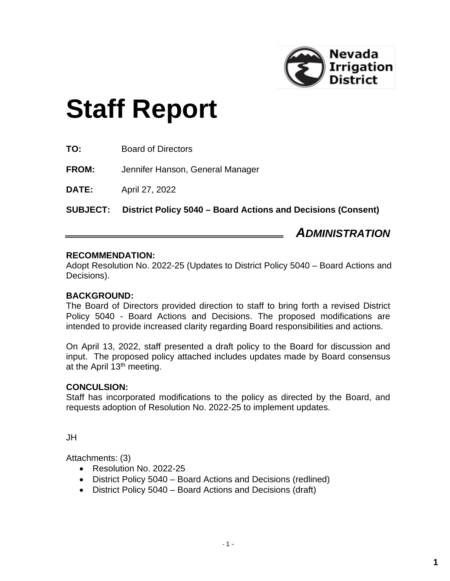

# **Staff Report**

|                 | <b>ADMINISTRATION</b>                                        |
|-----------------|--------------------------------------------------------------|
| <b>SUBJECT:</b> | District Policy 5040 - Board Actions and Decisions (Consent) |
| <b>DATE:</b>    | April 27, 2022                                               |
| <b>FROM:</b>    | Jennifer Hanson, General Manager                             |
| TO:             | <b>Board of Directors</b>                                    |

### **RECOMMENDATION:**

Adopt Resolution No. 2022-25 (Updates to District Policy 5040 – Board Actions and Decisions).

#### **BACKGROUND:**

The Board of Directors provided direction to staff to bring forth a revised District Policy 5040 - Board Actions and Decisions. The proposed modifications are intended to provide increased clarity regarding Board responsibilities and actions.

On April 13, 2022, staff presented a draft policy to the Board for discussion and input. The proposed policy attached includes updates made by Board consensus at the April 13<sup>th</sup> meeting.

#### **CONCULSION:**

Staff has incorporated modifications to the policy as directed by the Board, and requests adoption of Resolution No. 2022-25 to implement updates.

JH

Attachments: (3)

- Resolution No. 2022-25
- District Policy 5040 Board Actions and Decisions (redlined)
- District Policy 5040 Board Actions and Decisions (draft)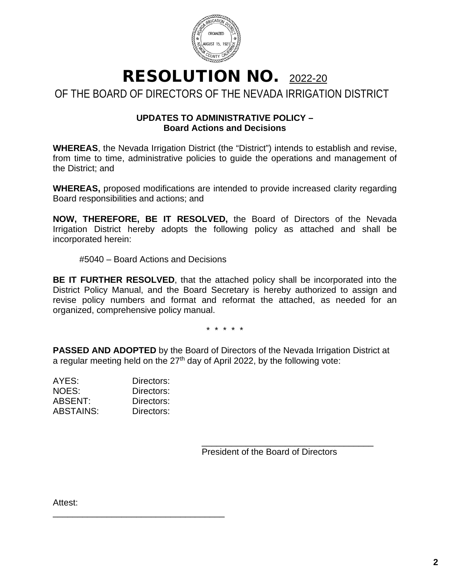

RESOLUTION NO. 2022-20 OF THE BOARD OF DIRECTORS OF THE NEVADA IRRIGATION DISTRICT

### **UPDATES TO ADMINISTRATIVE POLICY – Board Actions and Decisions**

**WHEREAS**, the Nevada Irrigation District (the "District") intends to establish and revise, from time to time, administrative policies to guide the operations and management of the District; and

**WHEREAS,** proposed modifications are intended to provide increased clarity regarding Board responsibilities and actions; and

**NOW, THEREFORE, BE IT RESOLVED,** the Board of Directors of the Nevada Irrigation District hereby adopts the following policy as attached and shall be incorporated herein:

#5040 – Board Actions and Decisions

**BE IT FURTHER RESOLVED**, that the attached policy shall be incorporated into the District Policy Manual, and the Board Secretary is hereby authorized to assign and revise policy numbers and format and reformat the attached, as needed for an organized, comprehensive policy manual.

\* \* \* \* \*

**PASSED AND ADOPTED** by the Board of Directors of the Nevada Irrigation District at a regular meeting held on the 27<sup>th</sup> day of April 2022, by the following vote:

| AYES:            | Directors: |
|------------------|------------|
| NOES:            | Directors: |
| ABSENT:          | Directors: |
| <b>ABSTAINS:</b> | Directors: |

\_\_\_\_\_\_\_\_\_\_\_\_\_\_\_\_\_\_\_\_\_\_\_\_\_\_\_\_\_\_\_\_\_\_\_

\_\_\_\_\_\_\_\_\_\_\_\_\_\_\_\_\_\_\_\_\_\_\_\_\_\_\_\_\_\_\_\_\_\_\_ President of the Board of Directors

Attest: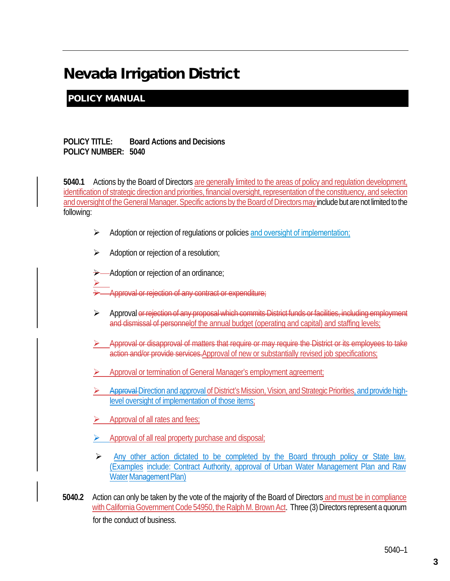## Nevada Irrigation District

### POLICY MANUAL

### **POLICY TITLE: Board Actions and Decisions POLICY NUMBER: 5040**

**5040.1** Actions by the Board of Directors are generally limited to the areas of policy and regulation development, identification of strategic direction and priorities, financial oversight, representation of the constituency, and selection and oversight of the General Manager. Specific actions by the Board of Directors may include but are not limited to the following:

- $\triangleright$  Adoption or rejection of regulations or policies and oversight of implementation;
- $\triangleright$  Adoption or rejection of a resolution;

Adoption or rejection of an ordinance;

- $\geq$ Approval or rejection of any contract or expenditure;
- Approval or rejection of any proposal which commits District funds or facilities, including employment and dismissal of personnelof the annual budget (operating and capital) and staffing levels;
- Approval or disapproval of matters that require or may require the District or its employees to take action and/or provide services. Approval of new or substantially revised job specifications;
- Approval or termination of General Manager's employment agreement;
- Approval Direction and approval of District's Mission, Vision, and Strategic Priorities, and provide highlevel oversight of implementation of those items;
- Approval of all rates and fees;
- Approval of all real property purchase and disposal;
- $\triangleright$  Any other action dictated to be completed by the Board through policy or State law. (Examples include: Contract Authority, approval of Urban Water Management Plan and Raw Water Management Plan)
- **5040.2** Action can only be taken by the vote of the majority of the Board of Directors and must be in compliance with California Government Code 54950, the Ralph M. Brown Act. Three (3) Directors represent a quorum for the conduct of business.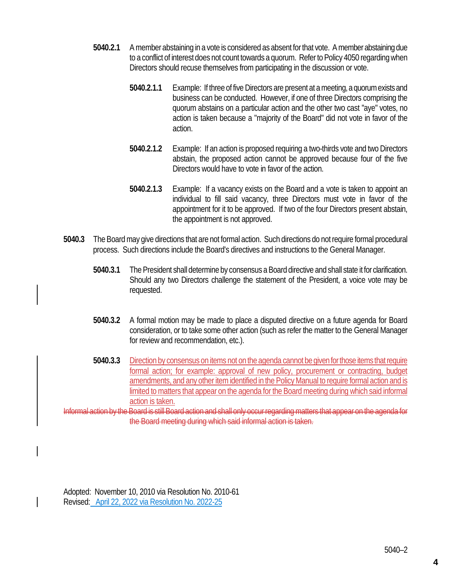- **5040.2.1** A member abstaining in a vote is considered as absent for that vote. A member abstaining due to a conflict of interest does not count towards a quorum. Refer to Policy 4050 regarding when Directors should recuse themselves from participating in the discussion or vote.
	- **5040.2.1.1** Example: If three of five Directors are present at a meeting, a quorum exists and business can be conducted. However, if one of three Directors comprising the quorum abstains on a particular action and the other two cast "aye" votes, no action is taken because a "majority of the Board" did not vote in favor of the action.
	- **5040.2.1.2** Example: If an action is proposed requiring a two-thirds vote and two Directors abstain, the proposed action cannot be approved because four of the five Directors would have to vote in favor of the action.
	- **5040.2.1.3** Example: If a vacancy exists on the Board and a vote is taken to appoint an individual to fill said vacancy, three Directors must vote in favor of the appointment for it to be approved. If two of the four Directors present abstain, the appointment is not approved.
- **5040.3** The Board may give directions that are not formal action. Such directions do not require formal procedural process. Such directions include the Board's directives and instructions to the General Manager.
	- **5040.3.1** The President shall determine by consensus a Board directive and shall state it for clarification. Should any two Directors challenge the statement of the President, a voice vote may be requested.
	- **5040.3.2** A formal motion may be made to place a disputed directive on a future agenda for Board consideration, or to take some other action (such as refer the matter to the General Manager for review and recommendation, etc.).
	- **5040.3.3** Direction by consensus on items not on the agenda cannot be given for those items that require formal action; for example: approval of new policy, procurement or contracting, budget amendments, and any other item identified in the Policy Manual to require formal action and is limited to matters that appear on the agenda for the Board meeting during which said informal action is taken.

nformal action by the Board is still Board action and shall only occur regarding matters that appear on the agenda for the Board meeting during which said informal action is taken.

Adopted: November 10, 2010 via Resolution No. 2010-61 Revised: April 22, 2022 via Resolution No. 2022-25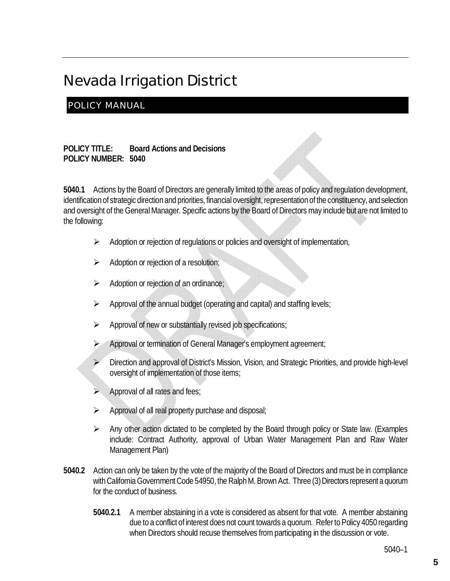# Nevada Irrigation District

### POLICY MANUAL

**POLICY TITLE: Board Actions and Decisions POLICY NUMBER: 5040**

**5040.1** Actions by the Board of Directors are generally limited to the areas of policy and regulation development, identification of strategic direction and priorities, financial oversight, representation of the constituency, and selection and oversight of the General Manager. Specific actions by the Board of Directors may include but are not limited to the following:

- $\triangleright$  Adoption or rejection of regulations or policies and oversight of implementation,
- $\triangleright$  Adoption or rejection of a resolution;
- Adoption or rejection of an ordinance;
- $\triangleright$  Approval of the annual budget (operating and capital) and staffing levels;
- $\triangleright$  Approval of new or substantially revised job specifications;
- Approval or termination of General Manager's employment agreement;
- $\triangleright$  Direction and approval of District's Mission, Vision, and Strategic Priorities, and provide high-level oversight of implementation of those items;
- Approval of all rates and fees;
- $\triangleright$  Approval of all real property purchase and disposal;
- $\triangleright$  Any other action dictated to be completed by the Board through policy or State law. (Examples include: Contract Authority, approval of Urban Water Management Plan and Raw Water Management Plan)
- **5040.2** Action can only be taken by the vote of the majority of the Board of Directors and must be in compliance with California Government Code 54950, the Ralph M. Brown Act. Three (3) Directors represent a quorum for the conduct of business.
	- **5040.2.1** A member abstaining in a vote is considered as absent for that vote. A member abstaining due to a conflict of interest does not count towards a quorum. Refer to Policy 4050 regarding when Directors should recuse themselves from participating in the discussion or vote.